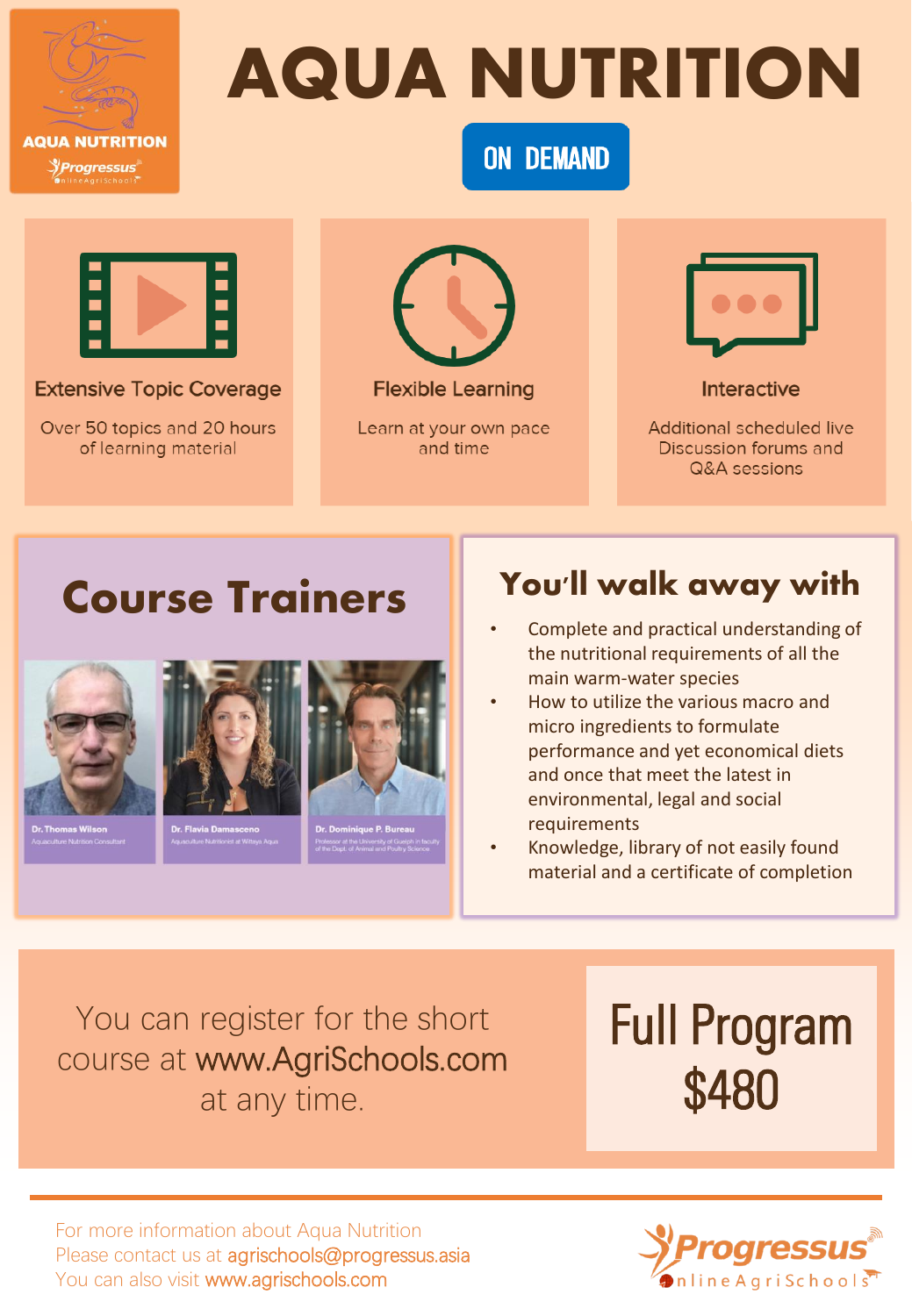

# AQUA NUTRITION

**ON DEMAND** 



**Extensive Topic Coverage** 

Over 50 topics and 20 hours of learning material



Learn at your own pace and time



Interactive

Additional scheduled live Discussion forums and Q&A sessions

## Course Trainers | You'll walk away with



- Complete and practical understanding of the nutritional requirements of all the main warm-water species
- How to utilize the various macro and micro ingredients to formulate performance and yet economical diets and once that meet the latest in environmental, legal and social requirements
- Knowledge, library of not easily found material and a certificate of completion

You can register for the short course at www.AgriSchools.com at any time.

Full Program \$480

For more information about Aqua Nutrition Please contact us at agrischools@progressus.asia You can also visit www.agrischools.com